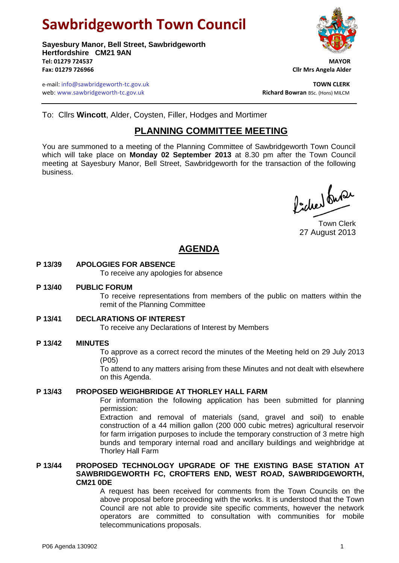# **Sawbridgeworth Town Council**

**Sayesbury Manor, Bell Street, Sawbridgeworth Hertfordshire CM21 9AN Tel: 01279 724537 MAYOR Fax: 01279 726966 Cllr Mrs Angela Alder**

e-mail: info@sawbridgeworth-tc.gov.uk<br> **TOWN CLERK**<br>
Web: www.sawbridgeworth-tc.gov.uk **TOWN CLERK**<br>
Richard Bowran Bsc. (Hons) MILCM web: www.sawbridgeworth-tc.gov.uk



To: Cllrs **Wincott**, Alder, Coysten, Filler, Hodges and Mortimer

## **PLANNING COMMITTEE MEETING**

You are summoned to a meeting of the Planning Committee of Sawbridgeworth Town Council which will take place on **Monday 02 September 2013** at 8.30 pm after the Town Council meeting at Sayesbury Manor, Bell Street, Sawbridgeworth for the transaction of the following business.

Picked fuse

Town Clerk 27 August 2013

## **AGENDA**

#### **P 13/39 APOLOGIES FOR ABSENCE**

To receive any apologies for absence

#### **P 13/40 PUBLIC FORUM**

To receive representations from members of the public on matters within the remit of the Planning Committee

#### **P 13/41 DECLARATIONS OF INTEREST**

To receive any Declarations of Interest by Members

#### **P 13/42 MINUTES**

To approve as a correct record the minutes of the Meeting held on 29 July 2013 (P05)

To attend to any matters arising from these Minutes and not dealt with elsewhere on this Agenda.

#### **P 13/43 PROPOSED WEIGHBRIDGE AT THORLEY HALL FARM**

For information the following application has been submitted for planning permission:

Extraction and removal of materials (sand, gravel and soil) to enable construction of a 44 million gallon (200 000 cubic metres) agricultural reservoir for farm irrigation purposes to include the temporary construction of 3 metre high bunds and temporary internal road and ancillary buildings and weighbridge at Thorley Hall Farm

#### **P 13/44 PROPOSED TECHNOLOGY UPGRADE OF THE EXISTING BASE STATION AT SAWBRIDGEWORTH FC, CROFTERS END, WEST ROAD, SAWBRIDGEWORTH, CM21 0DE**

A request has been received for comments from the Town Councils on the above proposal before proceeding with the works. It is understood that the Town Council are not able to provide site specific comments, however the network operators are committed to consultation with communities for mobile telecommunications proposals.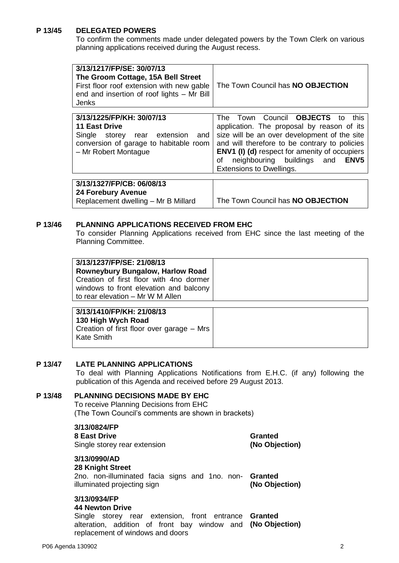#### **P 13/45 DELEGATED POWERS**

To confirm the comments made under delegated powers by the Town Clerk on various planning applications received during the August recess.

| 3/13/1217/FP/SE: 30/07/13<br>The Groom Cottage, 15A Bell Street<br>First floor roof extension with new gable<br>end and insertion of roof lights - Mr Bill<br>Jenks | The Town Council has NO OBJECTION                                                                                                                                                                                                                                                                                              |
|---------------------------------------------------------------------------------------------------------------------------------------------------------------------|--------------------------------------------------------------------------------------------------------------------------------------------------------------------------------------------------------------------------------------------------------------------------------------------------------------------------------|
| 3/13/1225/FP/KH: 30/07/13<br><b>11 East Drive</b><br>Single storey rear extension<br>and<br>conversion of garage to habitable room<br>- Mr Robert Montague          | The Town Council OBJECTS to<br>this<br>application. The proposal by reason of its<br>size will be an over development of the site<br>and will therefore to be contrary to policies<br><b>ENV1 (I) (d)</b> respect for amenity of occupiers<br>ENV <sub>5</sub><br>neighbouring buildings and<br>οf<br>Extensions to Dwellings. |
| 3/13/1327/FP/CB: 06/08/13                                                                                                                                           |                                                                                                                                                                                                                                                                                                                                |

**24 Forebury Avenue**

Replacement dwelling – Mr B Millard The Town Council has **NO OBJECTION**

#### **P 13/46 PLANNING APPLICATIONS RECEIVED FROM EHC**

To consider Planning Applications received from EHC since the last meeting of the Planning Committee.

| 3/13/1237/FP/SE: 21/08/13<br><b>Rowneybury Bungalow, Harlow Road</b><br>Creation of first floor with 4no dormer<br>windows to front elevation and balcony |  |
|-----------------------------------------------------------------------------------------------------------------------------------------------------------|--|
| to rear elevation - Mr W M Allen                                                                                                                          |  |

| 3/13/1410/FP/KH: 21/08/13                 |
|-------------------------------------------|
| 130 High Wych Road                        |
| Creation of first floor over garage – Mrs |
| Kate Smith                                |
|                                           |

#### **P 13/47 LATE PLANNING APPLICATIONS**

To deal with Planning Applications Notifications from E.H.C. (if any) following the publication of this Agenda and received before 29 August 2013.

### **P 13/48 PLANNING DECISIONS MADE BY EHC**

To receive Planning Decisions from EHC (The Town Council's comments are shown in brackets)

**3/13/0824/FP**

**8 East Drive** Single storey rear extension **Granted (No Objection)**

#### **3/13/0990/AD**

**28 Knight Street** 2no. non-illuminated facia signs and 1no. non-**Granted** illuminated projecting sign **(No Objection)**

#### **3/13/0934/FP**

#### **44 Newton Drive**

Single storey rear extension, front entrance **Granted** alteration, addition of front bay window and **(No Objection)**replacement of windows and doors